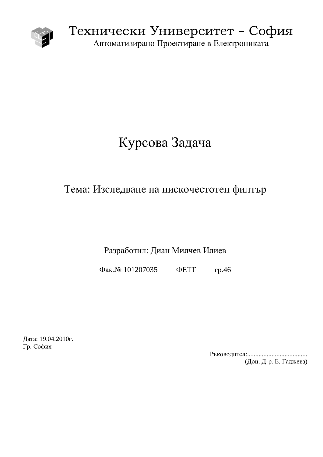

Технически Университет – София Автоматизирано Проектиране в Електрониката

# Курсова Задача

# Тема: Изследване на нискочестотен филтър

Разработил: Диан Милчев Илиев

Φaκ. Νο 101207035 ΦΕΤΤ rp. 46

Дата: 19.04.2010г. Гр. София

Ɋɴɤɨɜɨɞɢɬɟɥ:..................................... (Доц. Д-р. Е. Гаджева)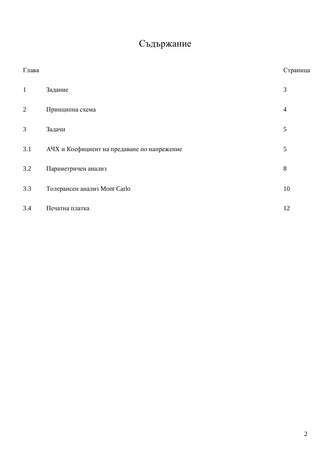# Съдържание

| Глава        |                                             | Страница       |
|--------------|---------------------------------------------|----------------|
| $\mathbf{1}$ | Задание                                     | 3              |
| $\mathbf{2}$ | Принципна схема                             | $\overline{4}$ |
| 3            | Задачи                                      | 5              |
| 3.1          | АЧХ и Коефициент на предаване по напрежение | 5              |
| 3.2          | Параметричен анализ                         | 8              |
| 3.3          | Толерансен анализ Mont Carlo                | 10             |
| 3.4          | Печатна платка                              | 12             |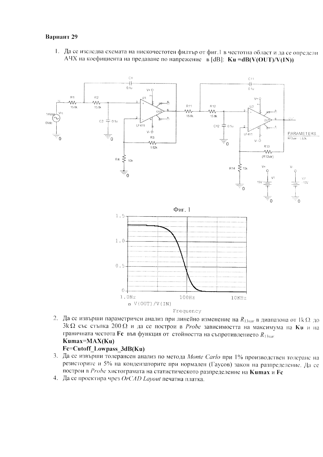#### Вариант 29

1. Да се изследва схемата на нискочестотен филтър от фиг.1 в честотна област и да се определи АЧХ на коефициента на предаване по напрежение в [dB]:  $Ku = dB(V(OUT)/V(IN))$ 



2. Да се извърши параметричен анализ при линейно изменение на  $R_{13xar}$  в диапазона от 1 k  $\Omega_{10}$  $3k\Omega$  със стъпка 200 $\Omega$  и да се построи в Probe зависимостта на максимума на Ки и на граничната честота  $\mathbf{Fc}$  във функция от стойността на съпротивлението  $R_{13var}$ Kumax=MAX(Ku)

#### Fc=Cutoff Lowpass 3dB(Ku)

- 3. Да се извърши толерансен анализ по метода Monte Carlo при 1% производствен толеранс на резисторите и 5% на кондензаторите при нормален (Гаусов) закон на разпределение. Да се построи в Probe хистограмата на статистическото разпределение на Китах и Fc
- 4. Да се проектира чрез  $OrCAD$  Layout печатна платка.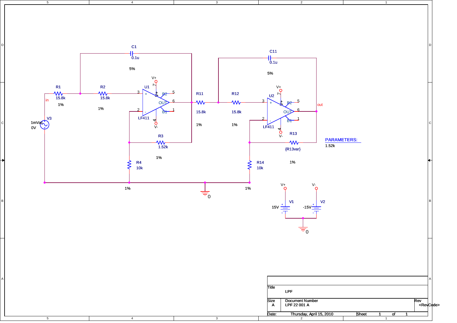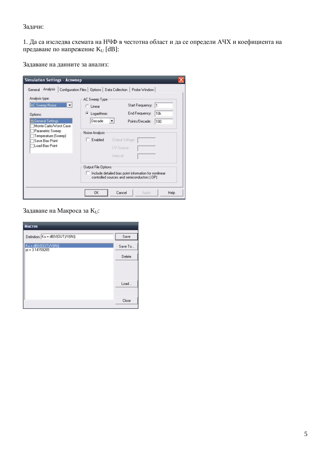#### Задачи:

1. Да са изследва схемата на НЧФ в честотна област и да се определи АЧХ и коефициента на предаване по напрежение K<sub>U</sub> [dB]:

Задаване на данните за анализ:

| Analysis type:                                    | Configuration Files   Options  <br>AC Sweep Type | Probe Window<br>Data Collection                                                                      |     |
|---------------------------------------------------|--------------------------------------------------|------------------------------------------------------------------------------------------------------|-----|
| AC Sweep/Noise<br>$\overline{\phantom{a}}$        | C Linear                                         | Start Frequency:                                                                                     | l1  |
| Options:                                          | • Logarithmic                                    | End Frequency:                                                                                       | 10k |
| <b>General Settings</b><br>Monte Carlo/Worst Case | Decade<br>$\overline{ }$                         | Points/Decade:                                                                                       | 100 |
| Parametric Sweep                                  | Noise Analysis                                   |                                                                                                      |     |
| Temperature (Sweep)<br>Save Bias Point            | Enabled                                          | Output Voltage:                                                                                      |     |
| Load Bias Point                                   |                                                  | I/V Source:                                                                                          |     |
|                                                   |                                                  | Interval:                                                                                            |     |
|                                                   | Output File Options                              |                                                                                                      |     |
|                                                   |                                                  | Include detailed bias point information for nonlinear<br>controlled sources and semiconductors (.OP) |     |

Задаване на Макроса за К<sub>U</sub>:

| <b>Macros</b>                            |         |
|------------------------------------------|---------|
| Definition: Ku = dB(V(OUT)/V(IN))        | Save    |
| Ku = dB(V(OUT)/V(IN))<br>pi = 3.14159265 | Save To |
|                                          | Delete  |
|                                          |         |
|                                          |         |
|                                          | Load    |
|                                          |         |
|                                          | Close   |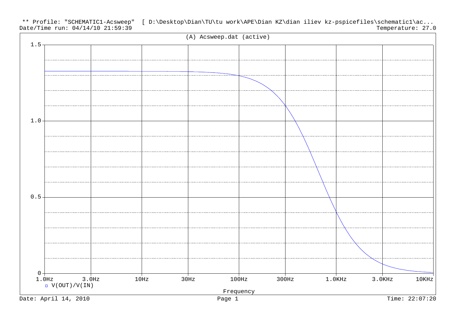Date/Time run: 04/14/10 21:59:39 \*\* Profile: "SCHEMATIC1-Acsweep" [ D:\Desktop\Dian\TU\tu work\APE\Dian KZ\dian iliev kz-pspicefiles\schematic1\ac... Temperature: 27.0

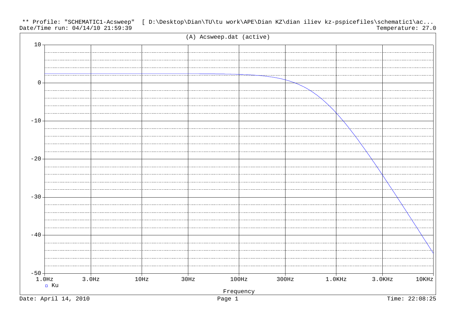Date/Time run: 04/14/10 21:59:39 \*\* Profile: "SCHEMATIC1-Acsweep" [ D:\Desktop\Dian\TU\tu work\APE\Dian KZ\dian iliev kz-pspicefiles\schematic1\ac... Temperature: 27.0

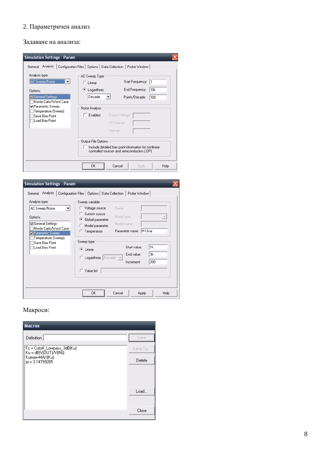#### 2. Параметричен анализ

#### Задаване на анализа:

| Analysis type:                                            | AC Sweep Type       |                                                                                                      |                 |
|-----------------------------------------------------------|---------------------|------------------------------------------------------------------------------------------------------|-----------------|
| AC Sweep/Noise<br>$\overline{\phantom{a}}$                | $C$ Linear          | Start Frequency:                                                                                     | 1               |
| Options:                                                  | G<br>Logarithmic    | End Frequency:                                                                                       | 10 <sub>k</sub> |
| General Settings                                          | Decade              | Points/Decade:                                                                                       | 100             |
| Monte Carlo/Worst Case<br>Parametric Sweep                | Noise Analysis      |                                                                                                      |                 |
| Temperature (Sweep)<br>Save Bias Point<br>Load Bias Point | Enabled             | Output Voltage:                                                                                      |                 |
|                                                           |                     | I/V Source:                                                                                          |                 |
|                                                           |                     | Interval:                                                                                            |                 |
|                                                           | Output File Options |                                                                                                      |                 |
|                                                           |                     | Include detailed bias point information for nonlinear<br>controlled sources and semiconductors (.OP) |                 |

| Analysis type:<br>AC Sweep/Noise<br>Options:                   | Sweep variable<br>Voltage source<br>Name:<br>Current source<br>Model type:<br>$\mathcal{A}$                     |
|----------------------------------------------------------------|-----------------------------------------------------------------------------------------------------------------|
| General Settings<br>Monte Carlo/Worst Case<br>Parametric Sweep | Global parameter<br>G<br>Model name:<br>Model parameter<br>R13var<br>Parameter name:<br><b>C</b> Temperature    |
| Temperature (Sweep)<br>Save Bias Point<br>Load Bias Point      | Sweep type<br>1k<br>Start value:<br>C Linear<br>3k<br>End value:<br>C Logarithmic Decade v<br>200<br>Increment: |
|                                                                | C Value list                                                                                                    |

# Макроси:

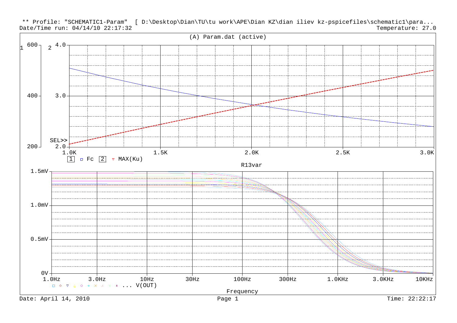

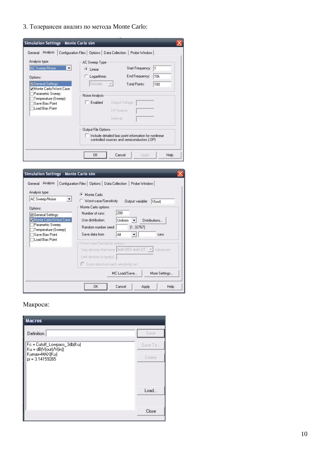3. Толерансен анализ по метода Monte Carlo:

| Analysis type:                                                                | AC Sweep Type             |                                                                                                      |     |
|-------------------------------------------------------------------------------|---------------------------|------------------------------------------------------------------------------------------------------|-----|
| AC Sweep/Noise<br>$\blacktriangledown$                                        | C Linear                  | Start Frequency:                                                                                     | I1  |
| Options:                                                                      | Logarithmic               | End Frequency:                                                                                       | 10k |
| <b>General Settings</b><br>Monte Carlo/Worst Case                             | Decade<br>$\mathcal{A}$   | Total Points:                                                                                        | 100 |
| Parametric Sweep<br>Temperature (Sweep)<br>Save Bias Point<br>Load Bias Point | Noise Analysis<br>Enabled | <b>Butput Voltage:</b><br>I/V Source:<br>Interval:                                                   |     |
|                                                                               | Output File Options       | Include detailed bias point information for nonlinear<br>controlled sources and semiconductors (.OP) |     |

| <b>Simulation Settings - Monte Carlo sim</b>                                                                                                                                         |                                                                                                                                                                                                                                                                                                                      |
|--------------------------------------------------------------------------------------------------------------------------------------------------------------------------------------|----------------------------------------------------------------------------------------------------------------------------------------------------------------------------------------------------------------------------------------------------------------------------------------------------------------------|
| Analysis<br>General<br>Analysis type:<br>AC Sweep/Noise<br>▼<br>Options:<br>General Settings<br>Monte Carlo/Worst Case<br>Parametric Sweep<br>Temperature (Sweep)<br>Save Bias Point | Configuration Files   Options  <br>Data Collection<br>Probe Window<br>Monte Carlo<br>G<br>Worst-case/Sensitivity<br>Output variable:<br>V[out]<br>Monte Carlo options<br>200<br>Number of runs:<br>Use distribution:<br>Distributions<br>Uniform<br>[132767]<br>Random number seed:<br>Save data from<br>Αll<br>runs |
| Load Bias Point                                                                                                                                                                      | -Worst-case/Sensitivity options-<br>Vary devices that have   both DEV and LOT  <br>tolerances<br>Limit devices to type[s]:<br>Save data from each sensitivity run                                                                                                                                                    |
|                                                                                                                                                                                      | MC Load/Save<br>More Settings<br>ΟK<br>Cancel<br>Help<br>Apply                                                                                                                                                                                                                                                       |

## Макроси:

| <b>Macros</b>                                          |         |
|--------------------------------------------------------|---------|
| Definition:                                            | Save    |
| Fc = Cutoff_Lowpass_3db(Ku)<br>$Ku = dB(V(out)/V(in))$ | Save To |
| Kumax=MAX(Ku)<br>pi = 3.14159265                       | Delete  |
|                                                        |         |
|                                                        |         |
|                                                        | Load    |
|                                                        |         |
|                                                        | Close   |
|                                                        |         |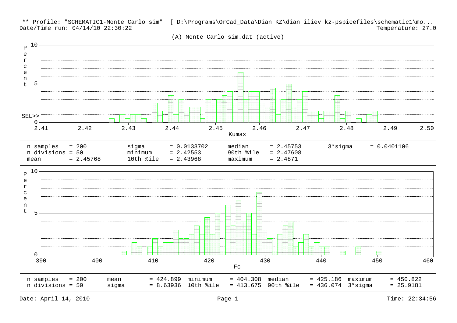Date/Time run: 04/14/10 22:30:22 \*\* Profile: "SCHEMATIC1-Monte Carlo sim" [ D:\Programs\OrCad\_Data\Dian KZ\dian iliev kz-pspicefiles\schematic1\mo... Temperature: 27.0